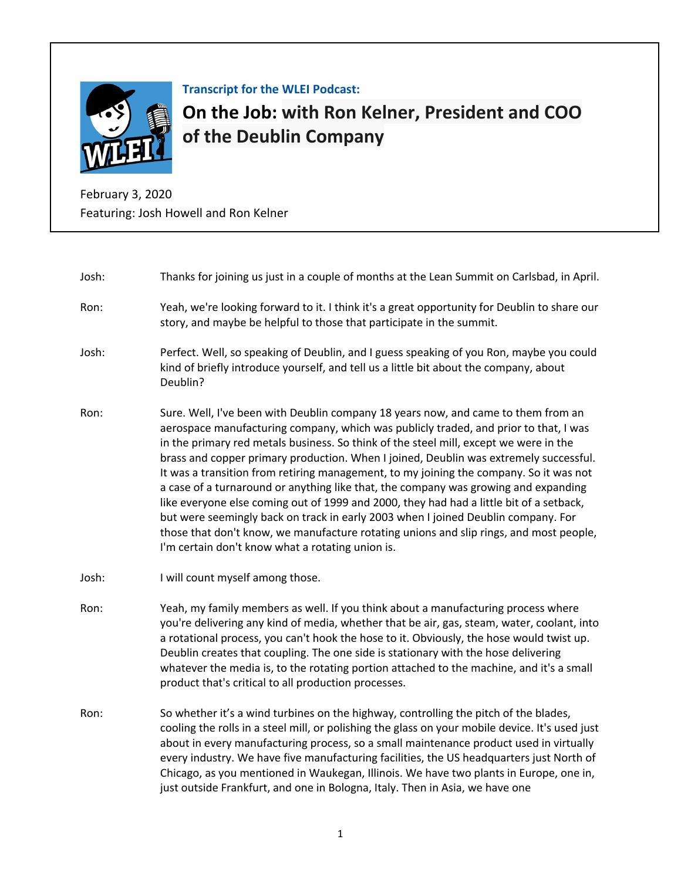

**Transcript for the WLEI Podcast:**

**On the Job: [with Ron Kelner, President and COO](https://www.lean.org/podcast/5125)  of the Deublin Company**

February 3, 2020 Featuring: Josh Howell and Ron Kelner

| Josh: | Thanks for joining us just in a couple of months at the Lean Summit on Carlsbad, in April.                                                                                                                                                                                                                                                                                                                                                                                                                                                                                                                                                                                                                                                                                                                                                                                 |
|-------|----------------------------------------------------------------------------------------------------------------------------------------------------------------------------------------------------------------------------------------------------------------------------------------------------------------------------------------------------------------------------------------------------------------------------------------------------------------------------------------------------------------------------------------------------------------------------------------------------------------------------------------------------------------------------------------------------------------------------------------------------------------------------------------------------------------------------------------------------------------------------|
| Ron:  | Yeah, we're looking forward to it. I think it's a great opportunity for Deublin to share our<br>story, and maybe be helpful to those that participate in the summit.                                                                                                                                                                                                                                                                                                                                                                                                                                                                                                                                                                                                                                                                                                       |
| Josh: | Perfect. Well, so speaking of Deublin, and I guess speaking of you Ron, maybe you could<br>kind of briefly introduce yourself, and tell us a little bit about the company, about<br>Deublin?                                                                                                                                                                                                                                                                                                                                                                                                                                                                                                                                                                                                                                                                               |
| Ron:  | Sure. Well, I've been with Deublin company 18 years now, and came to them from an<br>aerospace manufacturing company, which was publicly traded, and prior to that, I was<br>in the primary red metals business. So think of the steel mill, except we were in the<br>brass and copper primary production. When I joined, Deublin was extremely successful.<br>It was a transition from retiring management, to my joining the company. So it was not<br>a case of a turnaround or anything like that, the company was growing and expanding<br>like everyone else coming out of 1999 and 2000, they had had a little bit of a setback,<br>but were seemingly back on track in early 2003 when I joined Deublin company. For<br>those that don't know, we manufacture rotating unions and slip rings, and most people,<br>I'm certain don't know what a rotating union is. |
| Josh: | I will count myself among those.                                                                                                                                                                                                                                                                                                                                                                                                                                                                                                                                                                                                                                                                                                                                                                                                                                           |
| Ron:  | Yeah, my family members as well. If you think about a manufacturing process where<br>you're delivering any kind of media, whether that be air, gas, steam, water, coolant, into<br>a rotational process, you can't hook the hose to it. Obviously, the hose would twist up.<br>Deublin creates that coupling. The one side is stationary with the hose delivering<br>whatever the media is, to the rotating portion attached to the machine, and it's a small<br>product that's critical to all production processes.                                                                                                                                                                                                                                                                                                                                                      |
| Ron:  | So whether it's a wind turbines on the highway, controlling the pitch of the blades,<br>cooling the rolls in a steel mill, or polishing the glass on your mobile device. It's used just<br>about in every manufacturing process, so a small maintenance product used in virtually<br>every industry. We have five manufacturing facilities, the US headquarters just North of<br>Chicago, as you mentioned in Waukegan, Illinois. We have two plants in Europe, one in,<br>just outside Frankfurt, and one in Bologna, Italy. Then in Asia, we have one                                                                                                                                                                                                                                                                                                                    |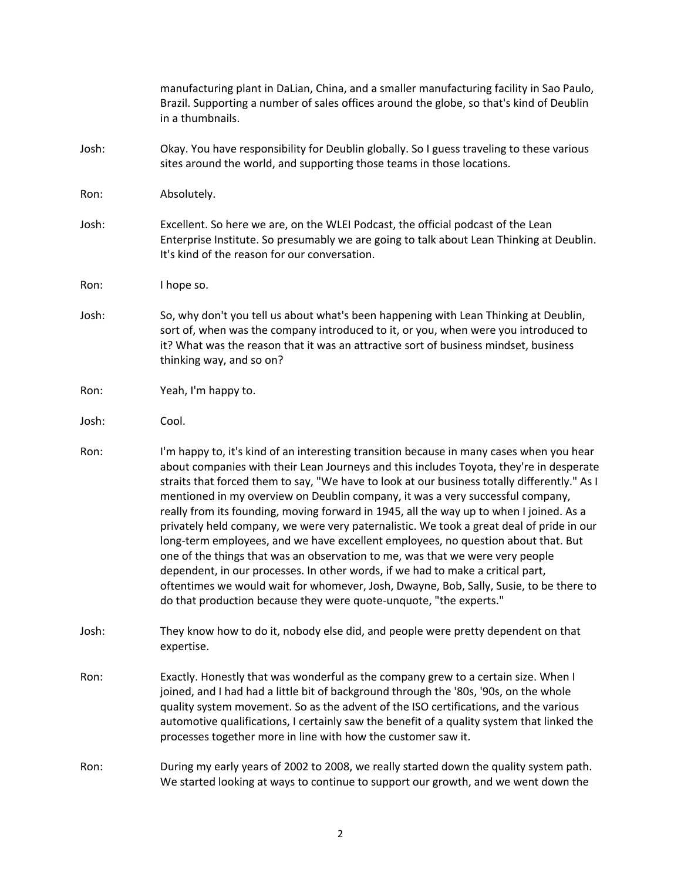|       | manufacturing plant in DaLian, China, and a smaller manufacturing facility in Sao Paulo,<br>Brazil. Supporting a number of sales offices around the globe, so that's kind of Deublin<br>in a thumbnails.                                                                                                                                                                                                                                                                                                                                                                                                                                                                                                                                                                                                                                                                                                                                                                              |
|-------|---------------------------------------------------------------------------------------------------------------------------------------------------------------------------------------------------------------------------------------------------------------------------------------------------------------------------------------------------------------------------------------------------------------------------------------------------------------------------------------------------------------------------------------------------------------------------------------------------------------------------------------------------------------------------------------------------------------------------------------------------------------------------------------------------------------------------------------------------------------------------------------------------------------------------------------------------------------------------------------|
| Josh: | Okay. You have responsibility for Deublin globally. So I guess traveling to these various<br>sites around the world, and supporting those teams in those locations.                                                                                                                                                                                                                                                                                                                                                                                                                                                                                                                                                                                                                                                                                                                                                                                                                   |
| Ron:  | Absolutely.                                                                                                                                                                                                                                                                                                                                                                                                                                                                                                                                                                                                                                                                                                                                                                                                                                                                                                                                                                           |
| Josh: | Excellent. So here we are, on the WLEI Podcast, the official podcast of the Lean<br>Enterprise Institute. So presumably we are going to talk about Lean Thinking at Deublin.<br>It's kind of the reason for our conversation.                                                                                                                                                                                                                                                                                                                                                                                                                                                                                                                                                                                                                                                                                                                                                         |
| Ron:  | I hope so.                                                                                                                                                                                                                                                                                                                                                                                                                                                                                                                                                                                                                                                                                                                                                                                                                                                                                                                                                                            |
| Josh: | So, why don't you tell us about what's been happening with Lean Thinking at Deublin,<br>sort of, when was the company introduced to it, or you, when were you introduced to<br>it? What was the reason that it was an attractive sort of business mindset, business<br>thinking way, and so on?                                                                                                                                                                                                                                                                                                                                                                                                                                                                                                                                                                                                                                                                                       |
| Ron:  | Yeah, I'm happy to.                                                                                                                                                                                                                                                                                                                                                                                                                                                                                                                                                                                                                                                                                                                                                                                                                                                                                                                                                                   |
| Josh: | Cool.                                                                                                                                                                                                                                                                                                                                                                                                                                                                                                                                                                                                                                                                                                                                                                                                                                                                                                                                                                                 |
| Ron:  | I'm happy to, it's kind of an interesting transition because in many cases when you hear<br>about companies with their Lean Journeys and this includes Toyota, they're in desperate<br>straits that forced them to say, "We have to look at our business totally differently." As I<br>mentioned in my overview on Deublin company, it was a very successful company,<br>really from its founding, moving forward in 1945, all the way up to when I joined. As a<br>privately held company, we were very paternalistic. We took a great deal of pride in our<br>long-term employees, and we have excellent employees, no question about that. But<br>one of the things that was an observation to me, was that we were very people<br>dependent, in our processes. In other words, if we had to make a critical part,<br>oftentimes we would wait for whomever, Josh, Dwayne, Bob, Sally, Susie, to be there to<br>do that production because they were quote-unquote, "the experts." |
| Josh: | They know how to do it, nobody else did, and people were pretty dependent on that<br>expertise.                                                                                                                                                                                                                                                                                                                                                                                                                                                                                                                                                                                                                                                                                                                                                                                                                                                                                       |
| Ron:  | Exactly. Honestly that was wonderful as the company grew to a certain size. When I<br>joined, and I had had a little bit of background through the '80s, '90s, on the whole<br>quality system movement. So as the advent of the ISO certifications, and the various<br>automotive qualifications, I certainly saw the benefit of a quality system that linked the<br>processes together more in line with how the customer saw it.                                                                                                                                                                                                                                                                                                                                                                                                                                                                                                                                                    |
| Ron:  | During my early years of 2002 to 2008, we really started down the quality system path.<br>We started looking at ways to continue to support our growth, and we went down the                                                                                                                                                                                                                                                                                                                                                                                                                                                                                                                                                                                                                                                                                                                                                                                                          |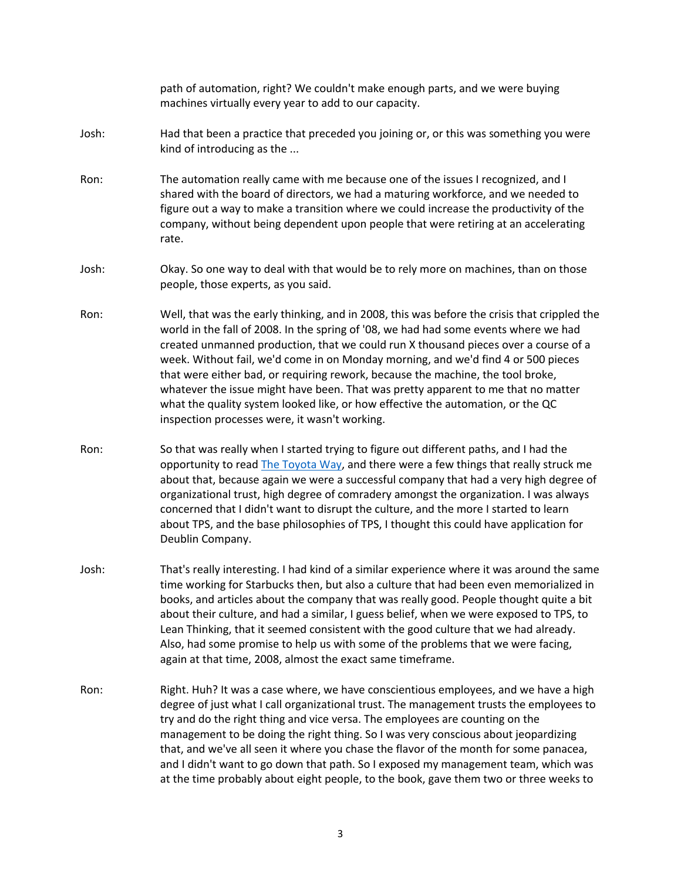path of automation, right? We couldn't make enough parts, and we were buying machines virtually every year to add to our capacity.

- Josh: Had that been a practice that preceded you joining or, or this was something you were kind of introducing as the ...
- Ron: The automation really came with me because one of the issues I recognized, and I shared with the board of directors, we had a maturing workforce, and we needed to figure out a way to make a transition where we could increase the productivity of the company, without being dependent upon people that were retiring at an accelerating rate.
- Josh: Okay. So one way to deal with that would be to rely more on machines, than on those people, those experts, as you said.
- Ron: Well, that was the early thinking, and in 2008, this was before the crisis that crippled the world in the fall of 2008. In the spring of '08, we had had some events where we had created unmanned production, that we could run X thousand pieces over a course of a week. Without fail, we'd come in on Monday morning, and we'd find 4 or 500 pieces that were either bad, or requiring rework, because the machine, the tool broke, whatever the issue might have been. That was pretty apparent to me that no matter what the quality system looked like, or how effective the automation, or the QC inspection processes were, it wasn't working.
- Ron: So that was really when I started trying to figure out different paths, and I had the opportunity to read The Toyota Way, and there were a few things that really struck me about that, because again we were a successful company that had a very high degree of organizational trust, high degree of comradery amongst the organization. I was always concerned that I didn't want to disrupt the culture, and the more I started to learn about TPS, and the base philosophies of TPS, I thought this could have application for Deublin Company.
- Josh: That's really interesting. I had kind of a similar experience where it was around the same time working for Starbucks then, but also a culture that had been even memorialized in books, and articles about the company that was really good. People thought quite a bit about their culture, and had a similar, I guess belief, when we were exposed to TPS, to Lean Thinking, that it seemed consistent with the good culture that we had already. Also, had some promise to help us with some of the problems that we were facing, again at that time, 2008, almost the exact same timeframe.
- Ron: Right. Huh? It was a case where, we have conscientious employees, and we have a high degree of just what I call organizational trust. The management trusts the employees to try and do the right thing and vice versa. The employees are counting on the management to be doing the right thing. So I was very conscious about jeopardizing that, and we've all seen it where you chase the flavor of the month for some panacea, and I didn't want to go down that path. So I exposed my management team, which was at the time probably about eight people, to the book, gave them two or three weeks to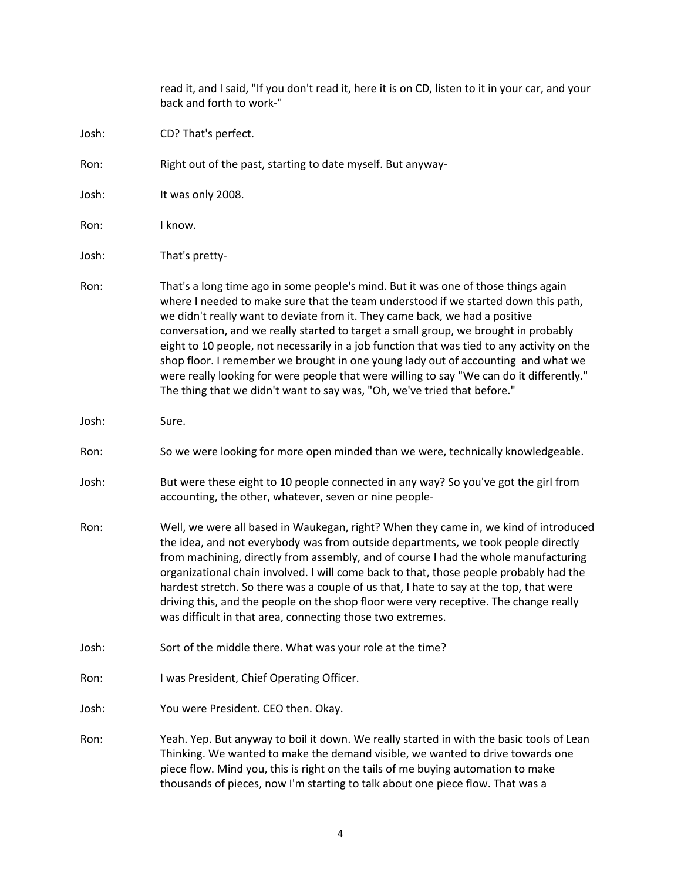read it, and I said, "If you don't read it, here it is on CD, listen to it in your car, and your back and forth to work-" Josh: CD? That's perfect. Ron: Right out of the past, starting to date myself. But anyway-Josh: It was only 2008. Ron: I know. Josh: That's pretty-Ron: That's a long time ago in some people's mind. But it was one of those things again where I needed to make sure that the team understood if we started down this path, we didn't really want to deviate from it. They came back, we had a positive conversation, and we really started to target a small group, we brought in probably eight to 10 people, not necessarily in a job function that was tied to any activity on the shop floor. I remember we brought in one young lady out of accounting and what we were really looking for were people that were willing to say "We can do it differently." The thing that we didn't want to say was, "Oh, we've tried that before." Josh: Sure. Ron: So we were looking for more open minded than we were, technically knowledgeable. Josh: But were these eight to 10 people connected in any way? So you've got the girl from accounting, the other, whatever, seven or nine people-Ron: Well, we were all based in Waukegan, right? When they came in, we kind of introduced the idea, and not everybody was from outside departments, we took people directly from machining, directly from assembly, and of course I had the whole manufacturing organizational chain involved. I will come back to that, those people probably had the hardest stretch. So there was a couple of us that, I hate to say at the top, that were driving this, and the people on the shop floor were very receptive. The change really was difficult in that area, connecting those two extremes. Josh: Sort of the middle there. What was your role at the time? Ron: I was President, Chief Operating Officer. Josh: You were President. CEO then. Okay. Ron: Yeah. Yep. But anyway to boil it down. We really started in with the basic tools of Lean Thinking. We wanted to make the demand visible, we wanted to drive towards one piece flow. Mind you, this is right on the tails of me buying automation to make thousands of pieces, now I'm starting to talk about one piece flow. That was a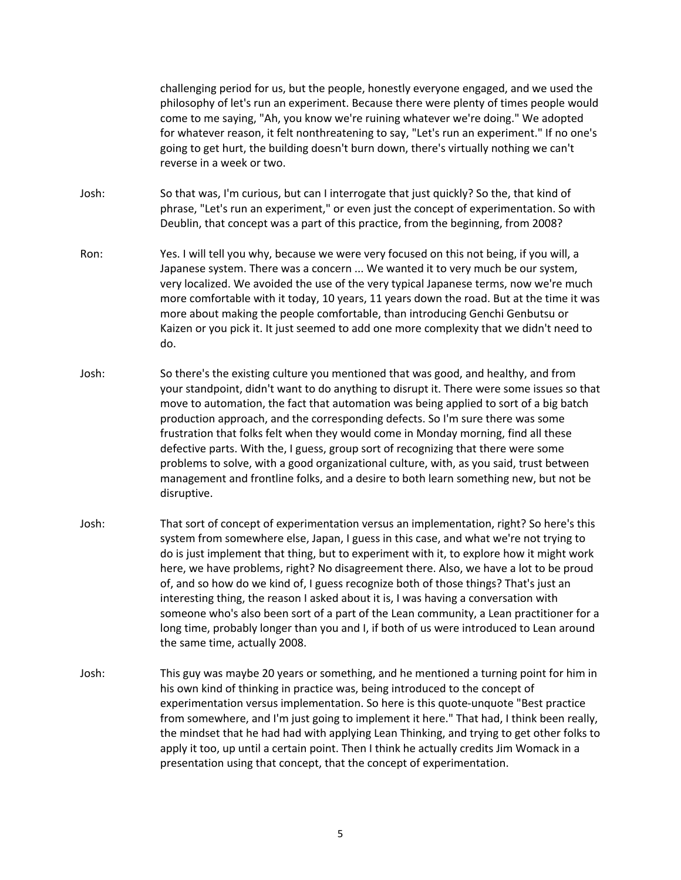challenging period for us, but the people, honestly everyone engaged, and we used the philosophy of let's run an experiment. Because there were plenty of times people would come to me saying, "Ah, you know we're ruining whatever we're doing." We adopted for whatever reason, it felt nonthreatening to say, "Let's run an experiment." If no one's going to get hurt, the building doesn't burn down, there's virtually nothing we can't reverse in a week or two.

- Josh: So that was, I'm curious, but can I interrogate that just quickly? So the, that kind of phrase, "Let's run an experiment," or even just the concept of experimentation. So with Deublin, that concept was a part of this practice, from the beginning, from 2008?
- Ron: Yes. I will tell you why, because we were very focused on this not being, if you will, a Japanese system. There was a concern ... We wanted it to very much be our system, very localized. We avoided the use of the very typical Japanese terms, now we're much more comfortable with it today, 10 years, 11 years down the road. But at the time it was more about making the people comfortable, than introducing Genchi Genbutsu or Kaizen or you pick it. It just seemed to add one more complexity that we didn't need to do.
- Josh: So there's the existing culture you mentioned that was good, and healthy, and from your standpoint, didn't want to do anything to disrupt it. There were some issues so that move to automation, the fact that automation was being applied to sort of a big batch production approach, and the corresponding defects. So I'm sure there was some frustration that folks felt when they would come in Monday morning, find all these defective parts. With the, I guess, group sort of recognizing that there were some problems to solve, with a good organizational culture, with, as you said, trust between management and frontline folks, and a desire to both learn something new, but not be disruptive.
- Josh: That sort of concept of experimentation versus an implementation, right? So here's this system from somewhere else, Japan, I guess in this case, and what we're not trying to do is just implement that thing, but to experiment with it, to explore how it might work here, we have problems, right? No disagreement there. Also, we have a lot to be proud of, and so how do we kind of, I guess recognize both of those things? That's just an interesting thing, the reason I asked about it is, I was having a conversation with someone who's also been sort of a part of the Lean community, a Lean practitioner for a long time, probably longer than you and I, if both of us were introduced to Lean around the same time, actually 2008.
- Josh: This guy was maybe 20 years or something, and he mentioned a turning point for him in his own kind of thinking in practice was, being introduced to the concept of experimentation versus implementation. So here is this quote-unquote "Best practice from somewhere, and I'm just going to implement it here." That had, I think been really, the mindset that he had had with applying Lean Thinking, and trying to get other folks to apply it too, up until a certain point. Then I think he actually credits Jim Womack in a presentation using that concept, that the concept of experimentation.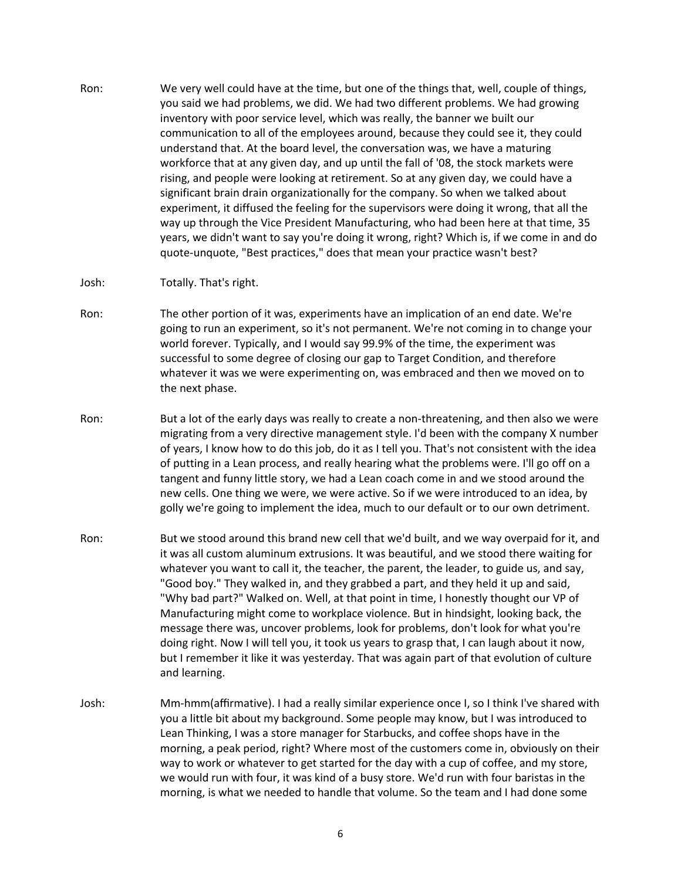- Ron: We very well could have at the time, but one of the things that, well, couple of things, you said we had problems, we did. We had two different problems. We had growing inventory with poor service level, which was really, the banner we built our communication to all of the employees around, because they could see it, they could understand that. At the board level, the conversation was, we have a maturing workforce that at any given day, and up until the fall of '08, the stock markets were rising, and people were looking at retirement. So at any given day, we could have a significant brain drain organizationally for the company. So when we talked about experiment, it diffused the feeling for the supervisors were doing it wrong, that all the way up through the Vice President Manufacturing, who had been here at that time, 35 years, we didn't want to say you're doing it wrong, right? Which is, if we come in and do quote-unquote, "Best practices," does that mean your practice wasn't best?
- Josh: Totally. That's right.
- Ron: The other portion of it was, experiments have an implication of an end date. We're going to run an experiment, so it's not permanent. We're not coming in to change your world forever. Typically, and I would say 99.9% of the time, the experiment was successful to some degree of closing our gap to Target Condition, and therefore whatever it was we were experimenting on, was embraced and then we moved on to the next phase.
- Ron: But a lot of the early days was really to create a non-threatening, and then also we were migrating from a very directive management style. I'd been with the company X number of years, I know how to do this job, do it as I tell you. That's not consistent with the idea of putting in a Lean process, and really hearing what the problems were. I'll go off on a tangent and funny little story, we had a Lean coach come in and we stood around the new cells. One thing we were, we were active. So if we were introduced to an idea, by golly we're going to implement the idea, much to our default or to our own detriment.
- Ron: But we stood around this brand new cell that we'd built, and we way overpaid for it, and it was all custom aluminum extrusions. It was beautiful, and we stood there waiting for whatever you want to call it, the teacher, the parent, the leader, to guide us, and say, "Good boy." They walked in, and they grabbed a part, and they held it up and said, "Why bad part?" Walked on. Well, at that point in time, I honestly thought our VP of Manufacturing might come to workplace violence. But in hindsight, looking back, the message there was, uncover problems, look for problems, don't look for what you're doing right. Now I will tell you, it took us years to grasp that, I can laugh about it now, but I remember it like it was yesterday. That was again part of that evolution of culture and learning.
- Josh: Mm-hmm(affirmative). I had a really similar experience once I, so I think I've shared with you a little bit about my background. Some people may know, but I was introduced to Lean Thinking, I was a store manager for Starbucks, and coffee shops have in the morning, a peak period, right? Where most of the customers come in, obviously on their way to work or whatever to get started for the day with a cup of coffee, and my store, we would run with four, it was kind of a busy store. We'd run with four baristas in the morning, is what we needed to handle that volume. So the team and I had done some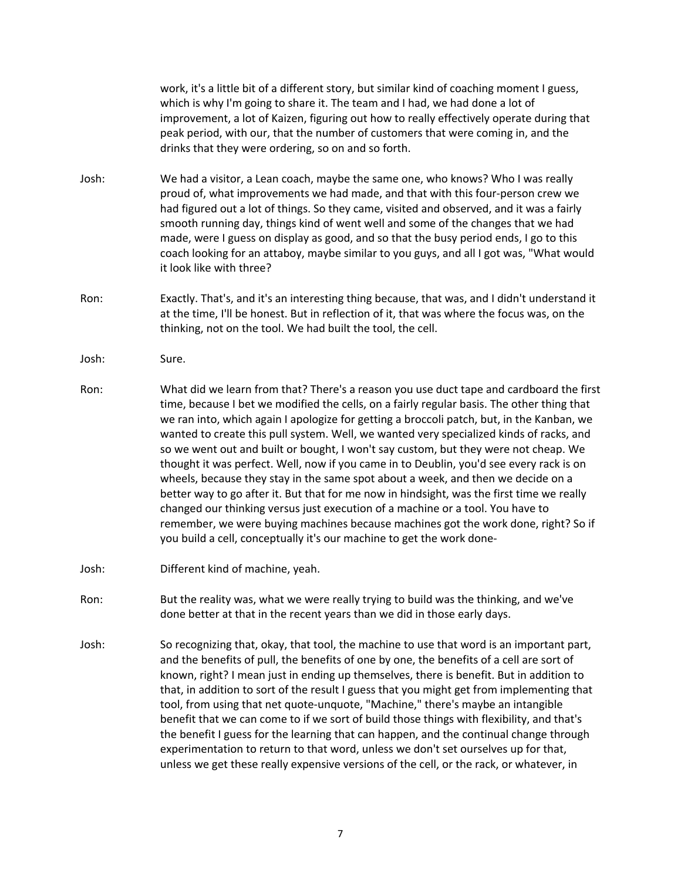work, it's a little bit of a different story, but similar kind of coaching moment I guess, which is why I'm going to share it. The team and I had, we had done a lot of improvement, a lot of Kaizen, figuring out how to really effectively operate during that peak period, with our, that the number of customers that were coming in, and the drinks that they were ordering, so on and so forth. Josh: We had a visitor, a Lean coach, maybe the same one, who knows? Who I was really proud of, what improvements we had made, and that with this four-person crew we had figured out a lot of things. So they came, visited and observed, and it was a fairly smooth running day, things kind of went well and some of the changes that we had made, were I guess on display as good, and so that the busy period ends, I go to this coach looking for an attaboy, maybe similar to you guys, and all I got was, "What would it look like with three? Ron: Exactly. That's, and it's an interesting thing because, that was, and I didn't understand it at the time, I'll be honest. But in reflection of it, that was where the focus was, on the thinking, not on the tool. We had built the tool, the cell. Josh: Sure. Ron: What did we learn from that? There's a reason you use duct tape and cardboard the first time, because I bet we modified the cells, on a fairly regular basis. The other thing that we ran into, which again I apologize for getting a broccoli patch, but, in the Kanban, we wanted to create this pull system. Well, we wanted very specialized kinds of racks, and so we went out and built or bought, I won't say custom, but they were not cheap. We thought it was perfect. Well, now if you came in to Deublin, you'd see every rack is on wheels, because they stay in the same spot about a week, and then we decide on a better way to go after it. But that for me now in hindsight, was the first time we really changed our thinking versus just execution of a machine or a tool. You have to remember, we were buying machines because machines got the work done, right? So if you build a cell, conceptually it's our machine to get the work done-

- Josh: Different kind of machine, yeah.
- Ron: But the reality was, what we were really trying to build was the thinking, and we've done better at that in the recent years than we did in those early days.
- Josh: So recognizing that, okay, that tool, the machine to use that word is an important part, and the benefits of pull, the benefits of one by one, the benefits of a cell are sort of known, right? I mean just in ending up themselves, there is benefit. But in addition to that, in addition to sort of the result I guess that you might get from implementing that tool, from using that net quote-unquote, "Machine," there's maybe an intangible benefit that we can come to if we sort of build those things with flexibility, and that's the benefit I guess for the learning that can happen, and the continual change through experimentation to return to that word, unless we don't set ourselves up for that, unless we get these really expensive versions of the cell, or the rack, or whatever, in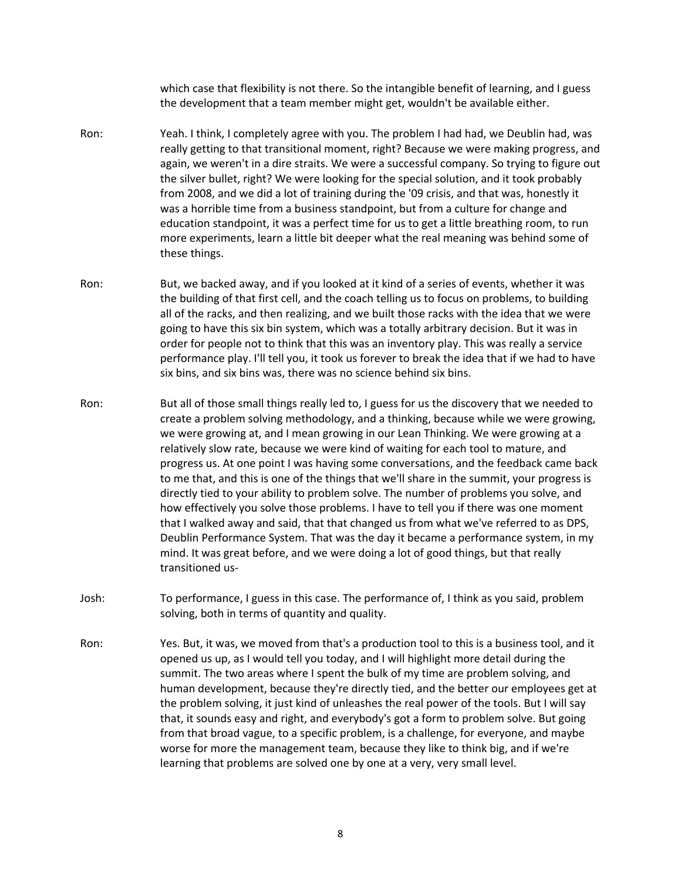which case that flexibility is not there. So the intangible benefit of learning, and I guess the development that a team member might get, wouldn't be available either.

- Ron: Yeah. I think, I completely agree with you. The problem I had had, we Deublin had, was really getting to that transitional moment, right? Because we were making progress, and again, we weren't in a dire straits. We were a successful company. So trying to figure out the silver bullet, right? We were looking for the special solution, and it took probably from 2008, and we did a lot of training during the '09 crisis, and that was, honestly it was a horrible time from a business standpoint, but from a culture for change and education standpoint, it was a perfect time for us to get a little breathing room, to run more experiments, learn a little bit deeper what the real meaning was behind some of these things.
- Ron: But, we backed away, and if you looked at it kind of a series of events, whether it was the building of that first cell, and the coach telling us to focus on problems, to building all of the racks, and then realizing, and we built those racks with the idea that we were going to have this six bin system, which was a totally arbitrary decision. But it was in order for people not to think that this was an inventory play. This was really a service performance play. I'll tell you, it took us forever to break the idea that if we had to have six bins, and six bins was, there was no science behind six bins.
- Ron: But all of those small things really led to, I guess for us the discovery that we needed to create a problem solving methodology, and a thinking, because while we were growing, we were growing at, and I mean growing in our Lean Thinking. We were growing at a relatively slow rate, because we were kind of waiting for each tool to mature, and progress us. At one point I was having some conversations, and the feedback came back to me that, and this is one of the things that we'll share in the summit, your progress is directly tied to your ability to problem solve. The number of problems you solve, and how effectively you solve those problems. I have to tell you if there was one moment that I walked away and said, that that changed us from what we've referred to as DPS, Deublin Performance System. That was the day it became a performance system, in my mind. It was great before, and we were doing a lot of good things, but that really transitioned us-
- Josh: To performance, I guess in this case. The performance of, I think as you said, problem solving, both in terms of quantity and quality.
- Ron: Yes. But, it was, we moved from that's a production tool to this is a business tool, and it opened us up, as I would tell you today, and I will highlight more detail during the summit. The two areas where I spent the bulk of my time are problem solving, and human development, because they're directly tied, and the better our employees get at the problem solving, it just kind of unleashes the real power of the tools. But I will say that, it sounds easy and right, and everybody's got a form to problem solve. But going from that broad vague, to a specific problem, is a challenge, for everyone, and maybe worse for more the management team, because they like to think big, and if we're learning that problems are solved one by one at a very, very small level.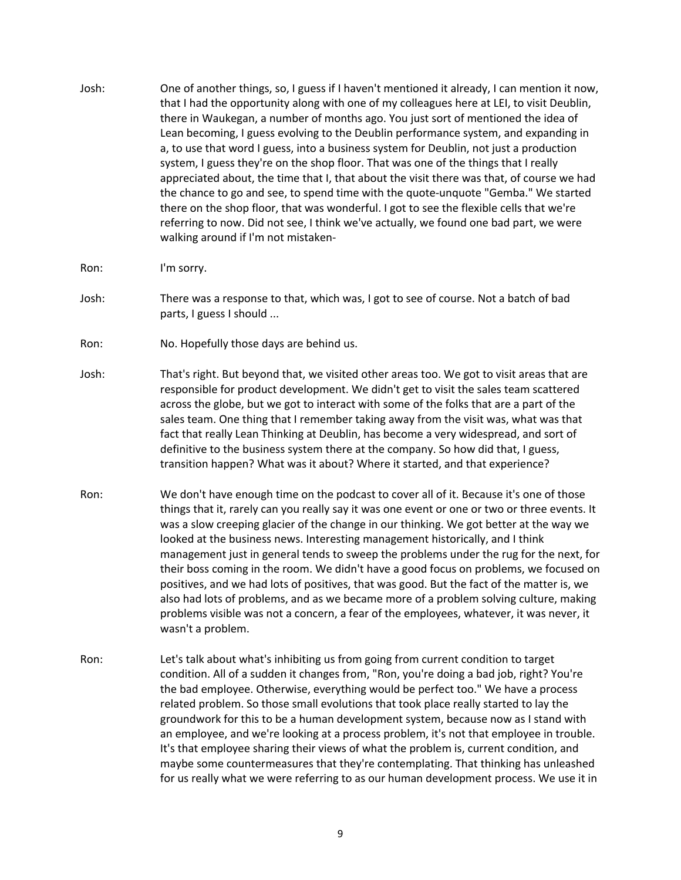- Josh: One of another things, so, I guess if I haven't mentioned it already, I can mention it now, that I had the opportunity along with one of my colleagues here at LEI, to visit Deublin, there in Waukegan, a number of months ago. You just sort of mentioned the idea of Lean becoming, I guess evolving to the Deublin performance system, and expanding in a, to use that word I guess, into a business system for Deublin, not just a production system, I guess they're on the shop floor. That was one of the things that I really appreciated about, the time that I, that about the visit there was that, of course we had the chance to go and see, to spend time with the quote-unquote "Gemba." We started there on the shop floor, that was wonderful. I got to see the flexible cells that we're referring to now. Did not see, I think we've actually, we found one bad part, we were walking around if I'm not mistaken-
- Ron: I'm sorry.
- Josh: There was a response to that, which was, I got to see of course. Not a batch of bad parts, I guess I should ...
- Ron: No. Hopefully those days are behind us.
- Josh: That's right. But beyond that, we visited other areas too. We got to visit areas that are responsible for product development. We didn't get to visit the sales team scattered across the globe, but we got to interact with some of the folks that are a part of the sales team. One thing that I remember taking away from the visit was, what was that fact that really Lean Thinking at Deublin, has become a very widespread, and sort of definitive to the business system there at the company. So how did that, I guess, transition happen? What was it about? Where it started, and that experience?
- Ron: We don't have enough time on the podcast to cover all of it. Because it's one of those things that it, rarely can you really say it was one event or one or two or three events. It was a slow creeping glacier of the change in our thinking. We got better at the way we looked at the business news. Interesting management historically, and I think management just in general tends to sweep the problems under the rug for the next, for their boss coming in the room. We didn't have a good focus on problems, we focused on positives, and we had lots of positives, that was good. But the fact of the matter is, we also had lots of problems, and as we became more of a problem solving culture, making problems visible was not a concern, a fear of the employees, whatever, it was never, it wasn't a problem.
- Ron: Let's talk about what's inhibiting us from going from current condition to target condition. All of a sudden it changes from, "Ron, you're doing a bad job, right? You're the bad employee. Otherwise, everything would be perfect too." We have a process related problem. So those small evolutions that took place really started to lay the groundwork for this to be a human development system, because now as I stand with an employee, and we're looking at a process problem, it's not that employee in trouble. It's that employee sharing their views of what the problem is, current condition, and maybe some countermeasures that they're contemplating. That thinking has unleashed for us really what we were referring to as our human development process. We use it in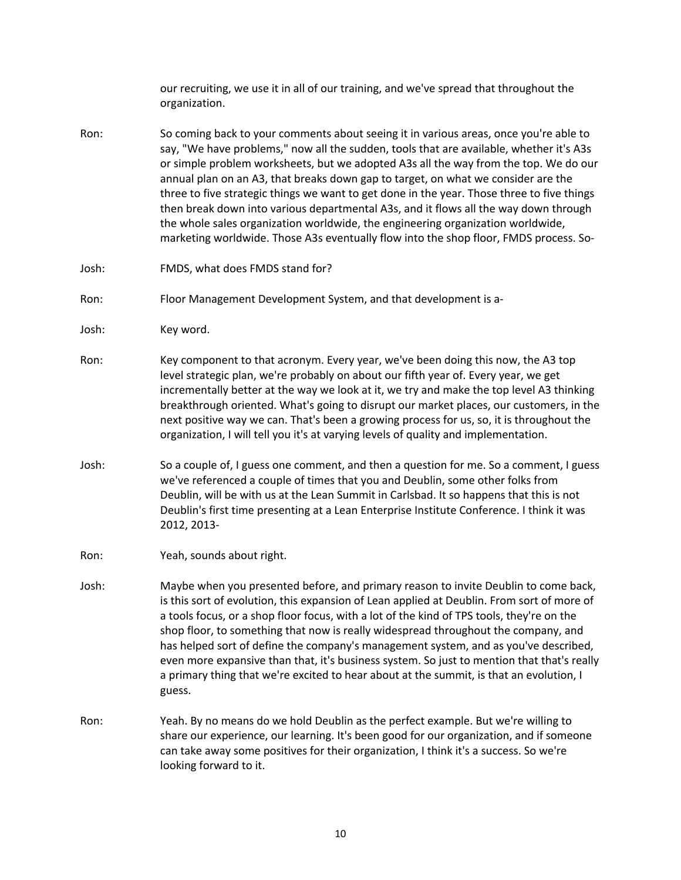our recruiting, we use it in all of our training, and we've spread that throughout the organization.

- Ron: So coming back to your comments about seeing it in various areas, once you're able to say, "We have problems," now all the sudden, tools that are available, whether it's A3s or simple problem worksheets, but we adopted A3s all the way from the top. We do our annual plan on an A3, that breaks down gap to target, on what we consider are the three to five strategic things we want to get done in the year. Those three to five things then break down into various departmental A3s, and it flows all the way down through the whole sales organization worldwide, the engineering organization worldwide, marketing worldwide. Those A3s eventually flow into the shop floor, FMDS process. So-
- Josh: FMDS, what does FMDS stand for?
- Ron: Floor Management Development System, and that development is a-
- Josh: Key word.
- Ron: Key component to that acronym. Every year, we've been doing this now, the A3 top level strategic plan, we're probably on about our fifth year of. Every year, we get incrementally better at the way we look at it, we try and make the top level A3 thinking breakthrough oriented. What's going to disrupt our market places, our customers, in the next positive way we can. That's been a growing process for us, so, it is throughout the organization, I will tell you it's at varying levels of quality and implementation.
- Josh: So a couple of, I guess one comment, and then a question for me. So a comment, I guess we've referenced a couple of times that you and Deublin, some other folks from Deublin, will be with us at the Lean Summit in Carlsbad. It so happens that this is not Deublin's first time presenting at a Lean Enterprise Institute Conference. I think it was 2012, 2013-
- Ron: Yeah, sounds about right.
- Josh: Maybe when you presented before, and primary reason to invite Deublin to come back, is this sort of evolution, this expansion of Lean applied at Deublin. From sort of more of a tools focus, or a shop floor focus, with a lot of the kind of TPS tools, they're on the shop floor, to something that now is really widespread throughout the company, and has helped sort of define the company's management system, and as you've described, even more expansive than that, it's business system. So just to mention that that's really a primary thing that we're excited to hear about at the summit, is that an evolution, I guess.
- Ron: Yeah. By no means do we hold Deublin as the perfect example. But we're willing to share our experience, our learning. It's been good for our organization, and if someone can take away some positives for their organization, I think it's a success. So we're looking forward to it.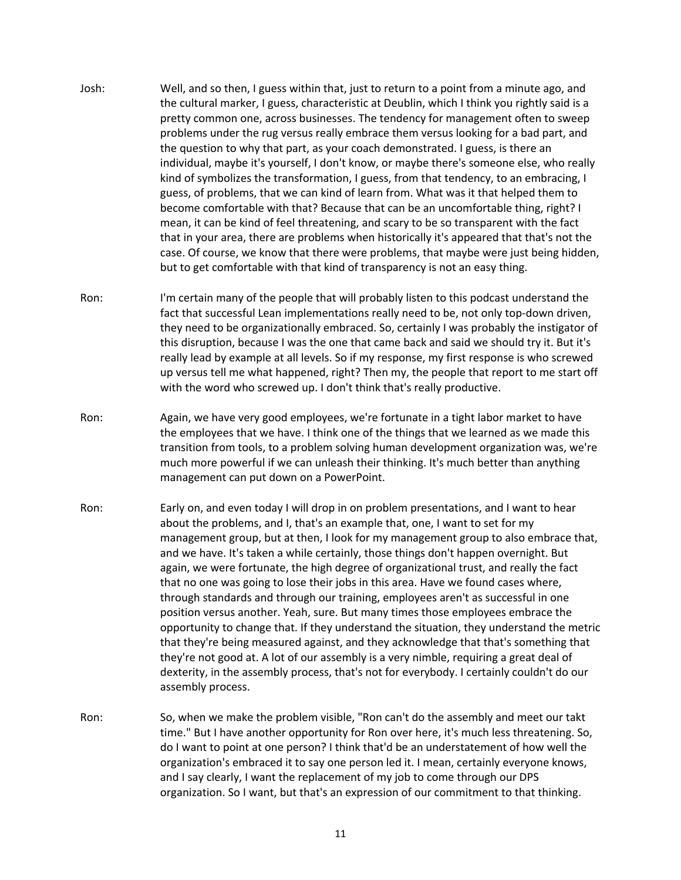- Josh: Well, and so then, I guess within that, just to return to a point from a minute ago, and the cultural marker, I guess, characteristic at Deublin, which I think you rightly said is a pretty common one, across businesses. The tendency for management often to sweep problems under the rug versus really embrace them versus looking for a bad part, and the question to why that part, as your coach demonstrated. I guess, is there an individual, maybe it's yourself, I don't know, or maybe there's someone else, who really kind of symbolizes the transformation, I guess, from that tendency, to an embracing, I guess, of problems, that we can kind of learn from. What was it that helped them to become comfortable with that? Because that can be an uncomfortable thing, right? I mean, it can be kind of feel threatening, and scary to be so transparent with the fact that in your area, there are problems when historically it's appeared that that's not the case. Of course, we know that there were problems, that maybe were just being hidden, but to get comfortable with that kind of transparency is not an easy thing.
- Ron: I'm certain many of the people that will probably listen to this podcast understand the fact that successful Lean implementations really need to be, not only top-down driven, they need to be organizationally embraced. So, certainly I was probably the instigator of this disruption, because I was the one that came back and said we should try it. But it's really lead by example at all levels. So if my response, my first response is who screwed up versus tell me what happened, right? Then my, the people that report to me start off with the word who screwed up. I don't think that's really productive.
- Ron: Again, we have very good employees, we're fortunate in a tight labor market to have the employees that we have. I think one of the things that we learned as we made this transition from tools, to a problem solving human development organization was, we're much more powerful if we can unleash their thinking. It's much better than anything management can put down on a PowerPoint.
- Ron: Early on, and even today I will drop in on problem presentations, and I want to hear about the problems, and I, that's an example that, one, I want to set for my management group, but at then, I look for my management group to also embrace that, and we have. It's taken a while certainly, those things don't happen overnight. But again, we were fortunate, the high degree of organizational trust, and really the fact that no one was going to lose their jobs in this area. Have we found cases where, through standards and through our training, employees aren't as successful in one position versus another. Yeah, sure. But many times those employees embrace the opportunity to change that. If they understand the situation, they understand the metric that they're being measured against, and they acknowledge that that's something that they're not good at. A lot of our assembly is a very nimble, requiring a great deal of dexterity, in the assembly process, that's not for everybody. I certainly couldn't do our assembly process.
- Ron: So, when we make the problem visible, "Ron can't do the assembly and meet our takt time." But I have another opportunity for Ron over here, it's much less threatening. So, do I want to point at one person? I think that'd be an understatement of how well the organization's embraced it to say one person led it. I mean, certainly everyone knows, and I say clearly, I want the replacement of my job to come through our DPS organization. So I want, but that's an expression of our commitment to that thinking.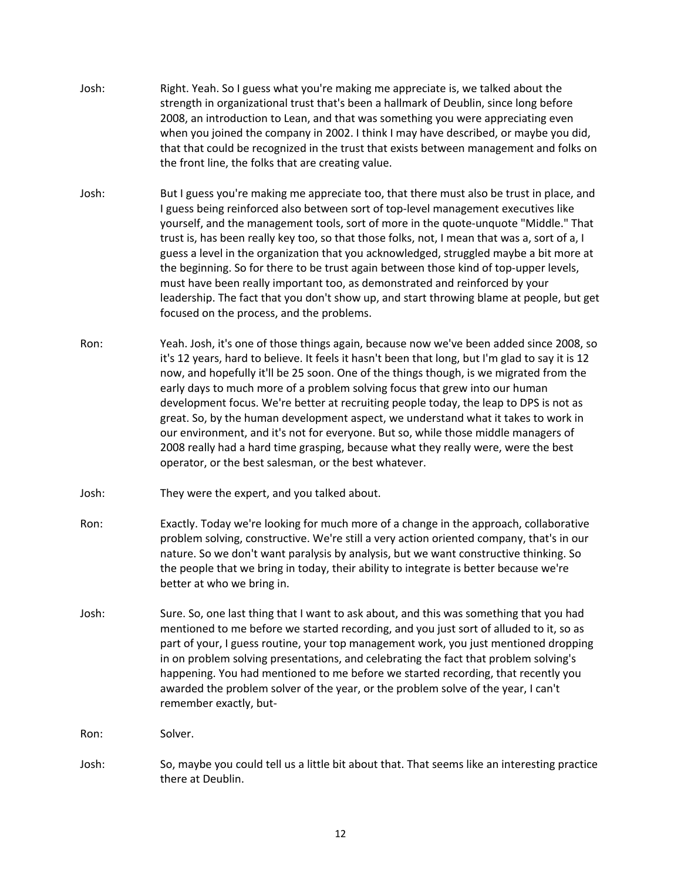- Josh: Right. Yeah. So I guess what you're making me appreciate is, we talked about the strength in organizational trust that's been a hallmark of Deublin, since long before 2008, an introduction to Lean, and that was something you were appreciating even when you joined the company in 2002. I think I may have described, or maybe you did, that that could be recognized in the trust that exists between management and folks on the front line, the folks that are creating value.
- Josh: But I guess you're making me appreciate too, that there must also be trust in place, and I guess being reinforced also between sort of top-level management executives like yourself, and the management tools, sort of more in the quote-unquote "Middle." That trust is, has been really key too, so that those folks, not, I mean that was a, sort of a, I guess a level in the organization that you acknowledged, struggled maybe a bit more at the beginning. So for there to be trust again between those kind of top-upper levels, must have been really important too, as demonstrated and reinforced by your leadership. The fact that you don't show up, and start throwing blame at people, but get focused on the process, and the problems.
- Ron: Yeah. Josh, it's one of those things again, because now we've been added since 2008, so it's 12 years, hard to believe. It feels it hasn't been that long, but I'm glad to say it is 12 now, and hopefully it'll be 25 soon. One of the things though, is we migrated from the early days to much more of a problem solving focus that grew into our human development focus. We're better at recruiting people today, the leap to DPS is not as great. So, by the human development aspect, we understand what it takes to work in our environment, and it's not for everyone. But so, while those middle managers of 2008 really had a hard time grasping, because what they really were, were the best operator, or the best salesman, or the best whatever.
- Josh: They were the expert, and you talked about.
- Ron: Exactly. Today we're looking for much more of a change in the approach, collaborative problem solving, constructive. We're still a very action oriented company, that's in our nature. So we don't want paralysis by analysis, but we want constructive thinking. So the people that we bring in today, their ability to integrate is better because we're better at who we bring in.
- Josh: Sure. So, one last thing that I want to ask about, and this was something that you had mentioned to me before we started recording, and you just sort of alluded to it, so as part of your, I guess routine, your top management work, you just mentioned dropping in on problem solving presentations, and celebrating the fact that problem solving's happening. You had mentioned to me before we started recording, that recently you awarded the problem solver of the year, or the problem solve of the year, I can't remember exactly, but-

Ron: Solver.

Josh: So, maybe you could tell us a little bit about that. That seems like an interesting practice there at Deublin.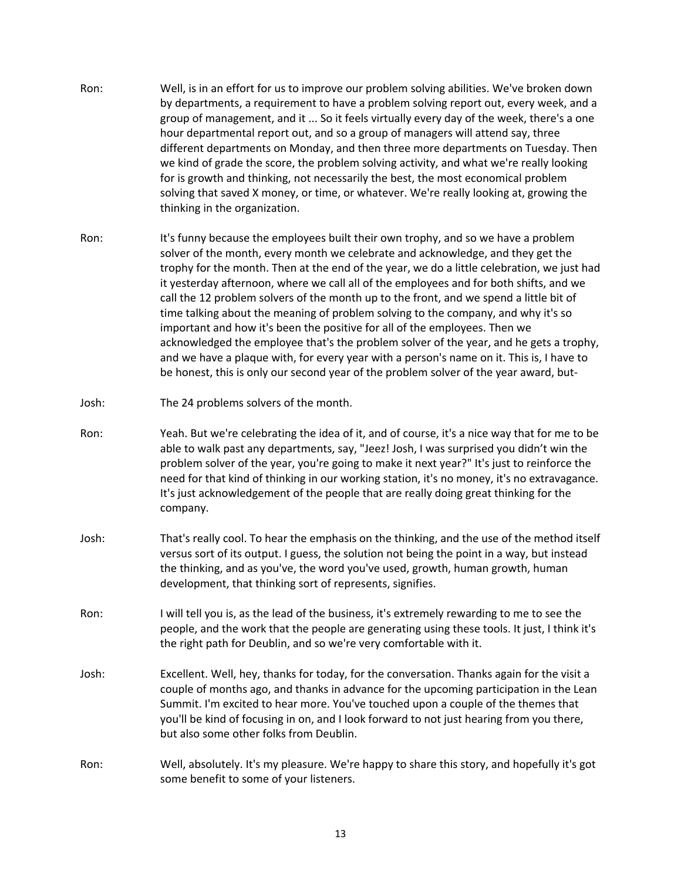- Ron: Well, is in an effort for us to improve our problem solving abilities. We've broken down by departments, a requirement to have a problem solving report out, every week, and a group of management, and it ... So it feels virtually every day of the week, there's a one hour departmental report out, and so a group of managers will attend say, three different departments on Monday, and then three more departments on Tuesday. Then we kind of grade the score, the problem solving activity, and what we're really looking for is growth and thinking, not necessarily the best, the most economical problem solving that saved X money, or time, or whatever. We're really looking at, growing the thinking in the organization.
- Ron: It's funny because the employees built their own trophy, and so we have a problem solver of the month, every month we celebrate and acknowledge, and they get the trophy for the month. Then at the end of the year, we do a little celebration, we just had it yesterday afternoon, where we call all of the employees and for both shifts, and we call the 12 problem solvers of the month up to the front, and we spend a little bit of time talking about the meaning of problem solving to the company, and why it's so important and how it's been the positive for all of the employees. Then we acknowledged the employee that's the problem solver of the year, and he gets a trophy, and we have a plaque with, for every year with a person's name on it. This is, I have to be honest, this is only our second year of the problem solver of the year award, but-
- Josh: The 24 problems solvers of the month.
- Ron: Yeah. But we're celebrating the idea of it, and of course, it's a nice way that for me to be able to walk past any departments, say, "Jeez! Josh, I was surprised you didn't win the problem solver of the year, you're going to make it next year?" It's just to reinforce the need for that kind of thinking in our working station, it's no money, it's no extravagance. It's just acknowledgement of the people that are really doing great thinking for the company.
- Josh: That's really cool. To hear the emphasis on the thinking, and the use of the method itself versus sort of its output. I guess, the solution not being the point in a way, but instead the thinking, and as you've, the word you've used, growth, human growth, human development, that thinking sort of represents, signifies.
- Ron: I will tell you is, as the lead of the business, it's extremely rewarding to me to see the people, and the work that the people are generating using these tools. It just, I think it's the right path for Deublin, and so we're very comfortable with it.
- Josh: Excellent. Well, hey, thanks for today, for the conversation. Thanks again for the visit a couple of months ago, and thanks in advance for the upcoming participation in the Lean Summit. I'm excited to hear more. You've touched upon a couple of the themes that you'll be kind of focusing in on, and I look forward to not just hearing from you there, but also some other folks from Deublin.
- Ron: Well, absolutely. It's my pleasure. We're happy to share this story, and hopefully it's got some benefit to some of your listeners.